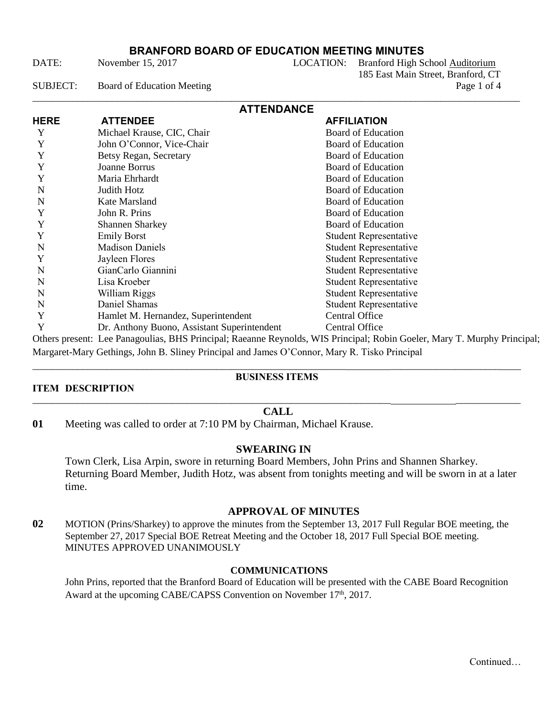DATE: November 15, 2017 LOCATION: Branford High School Auditorium 185 East Main Street, Branford, CT SUBJECT: Board of Education Meeting Page 1 of 4

| <b>ATTENDANCE</b> |                                                                                                                          |                               |
|-------------------|--------------------------------------------------------------------------------------------------------------------------|-------------------------------|
| <b>HERE</b>       | <b>ATTENDEE</b>                                                                                                          | <b>AFFILIATION</b>            |
| Y                 | Michael Krause, CIC, Chair                                                                                               | <b>Board of Education</b>     |
| Y                 | John O'Connor, Vice-Chair                                                                                                | <b>Board of Education</b>     |
| Y                 | Betsy Regan, Secretary                                                                                                   | <b>Board of Education</b>     |
| Y                 | Joanne Borrus                                                                                                            | <b>Board of Education</b>     |
| Y                 | Maria Ehrhardt                                                                                                           | <b>Board of Education</b>     |
| N                 | Judith Hotz                                                                                                              | <b>Board of Education</b>     |
| N                 | Kate Marsland                                                                                                            | <b>Board of Education</b>     |
| Y                 | John R. Prins                                                                                                            | <b>Board of Education</b>     |
| Y                 | <b>Shannen Sharkey</b>                                                                                                   | <b>Board of Education</b>     |
| Y                 | <b>Emily Borst</b>                                                                                                       | <b>Student Representative</b> |
| N                 | <b>Madison Daniels</b>                                                                                                   | <b>Student Representative</b> |
| Y                 | Jayleen Flores                                                                                                           | <b>Student Representative</b> |
| N                 | GianCarlo Giannini                                                                                                       | <b>Student Representative</b> |
| N                 | Lisa Kroeber                                                                                                             | <b>Student Representative</b> |
| N                 | William Riggs                                                                                                            | <b>Student Representative</b> |
| N                 | Daniel Shamas                                                                                                            | <b>Student Representative</b> |
| Y                 | Hamlet M. Hernandez, Superintendent                                                                                      | <b>Central Office</b>         |
| Y                 | Dr. Anthony Buono, Assistant Superintendent                                                                              | Central Office                |
|                   | Others present: Lee Panagoulias, BHS Principal; Raeanne Reynolds, WIS Principal; Robin Goeler, Mary T. Murphy Principal; |                               |

Margaret-Mary Gethings, John B. Sliney Principal and James O'Connor, Mary R. Tisko Principal

## **ITEM DESCRIPTION**

## **BUSINESS ITEMS**

\_\_\_\_\_\_\_\_\_\_\_\_\_\_\_\_\_\_\_\_\_\_\_\_\_\_\_\_\_\_\_\_\_\_\_\_\_\_\_\_\_\_\_\_\_\_\_\_\_\_\_\_\_\_\_\_\_\_\_\_\_\_\_ \_\_\_\_\_\_\_\_\_\_\_\_\_\_\_\_\_\_\_\_\_\_

#### \_\_\_\_\_\_\_\_\_\_\_\_\_\_\_\_\_\_\_\_\_\_\_\_\_\_\_\_\_\_\_\_\_\_\_\_\_\_\_\_\_\_\_\_\_\_\_\_\_\_\_\_\_\_\_\_\_\_\_\_\_\_\_\_\_\_\_\_\_\_\_\_ \_\_\_\_\_\_\_\_\_\_\_\_\_ **CALL**

**01** Meeting was called to order at 7:10 PM by Chairman, Michael Krause.

## **SWEARING IN**

Town Clerk, Lisa Arpin, swore in returning Board Members, John Prins and Shannen Sharkey. Returning Board Member, Judith Hotz, was absent from tonights meeting and will be sworn in at a later time.

### **APPROVAL OF MINUTES**

**02** MOTION (Prins/Sharkey) to approve the minutes from the September 13, 2017 Full Regular BOE meeting, the September 27, 2017 Special BOE Retreat Meeting and the October 18, 2017 Full Special BOE meeting. MINUTES APPROVED UNANIMOUSLY

## **COMMUNICATIONS**

John Prins, reported that the Branford Board of Education will be presented with the CABE Board Recognition Award at the upcoming CABE/CAPSS Convention on November 17<sup>th</sup>, 2017.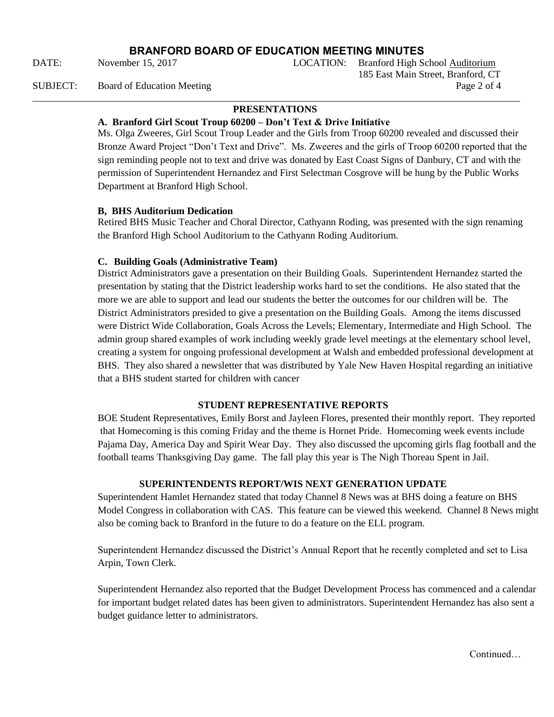DATE: November 15, 2017 LOCATION: Branford High School Auditorium 185 East Main Street, Branford, CT SUBJECT: Board of Education Meeting Page 2 of 4

#### \_\_\_\_\_\_\_\_\_\_\_\_\_\_\_\_\_\_\_\_\_\_\_\_\_\_\_\_\_\_\_\_\_\_\_\_\_\_\_\_\_\_\_\_\_\_\_\_\_\_\_\_\_\_\_\_\_\_\_\_\_\_\_\_\_\_\_\_\_\_\_\_\_\_\_\_\_\_\_\_\_\_\_\_\_\_\_\_\_\_\_\_\_\_\_\_\_\_ **PRESENTATIONS**

### **A. Branford Girl Scout Troup 60200 – Don't Text & Drive Initiative**

Ms. Olga Zweeres, Girl Scout Troup Leader and the Girls from Troop 60200 revealed and discussed their Bronze Award Project "Don't Text and Drive". Ms. Zweeres and the girls of Troop 60200 reported that the sign reminding people not to text and drive was donated by East Coast Signs of Danbury, CT and with the permission of Superintendent Hernandez and First Selectman Cosgrove will be hung by the Public Works Department at Branford High School.

#### **B, BHS Auditorium Dedication**

Retired BHS Music Teacher and Choral Director, Cathyann Roding, was presented with the sign renaming the Branford High School Auditorium to the Cathyann Roding Auditorium.

#### **C. Building Goals (Administrative Team)**

District Administrators gave a presentation on their Building Goals. Superintendent Hernandez started the presentation by stating that the District leadership works hard to set the conditions. He also stated that the more we are able to support and lead our students the better the outcomes for our children will be. The District Administrators presided to give a presentation on the Building Goals. Among the items discussed were District Wide Collaboration, Goals Across the Levels; Elementary, Intermediate and High School. The admin group shared examples of work including weekly grade level meetings at the elementary school level, creating a system for ongoing professional development at Walsh and embedded professional development at BHS. They also shared a newsletter that was distributed by Yale New Haven Hospital regarding an initiative that a BHS student started for children with cancer

#### **STUDENT REPRESENTATIVE REPORTS**

BOE Student Representatives, Emily Borst and Jayleen Flores, presented their monthly report. They reported that Homecoming is this coming Friday and the theme is Hornet Pride. Homecoming week events include Pajama Day, America Day and Spirit Wear Day. They also discussed the upcoming girls flag football and the football teams Thanksgiving Day game. The fall play this year is The Nigh Thoreau Spent in Jail.

#### **SUPERINTENDENTS REPORT/WIS NEXT GENERATION UPDATE**

Superintendent Hamlet Hernandez stated that today Channel 8 News was at BHS doing a feature on BHS Model Congress in collaboration with CAS. This feature can be viewed this weekend. Channel 8 News might also be coming back to Branford in the future to do a feature on the ELL program.

Superintendent Hernandez discussed the District's Annual Report that he recently completed and set to Lisa Arpin, Town Clerk.

Superintendent Hernandez also reported that the Budget Development Process has commenced and a calendar for important budget related dates has been given to administrators. Superintendent Hernandez has also sent a budget guidance letter to administrators.

Continued…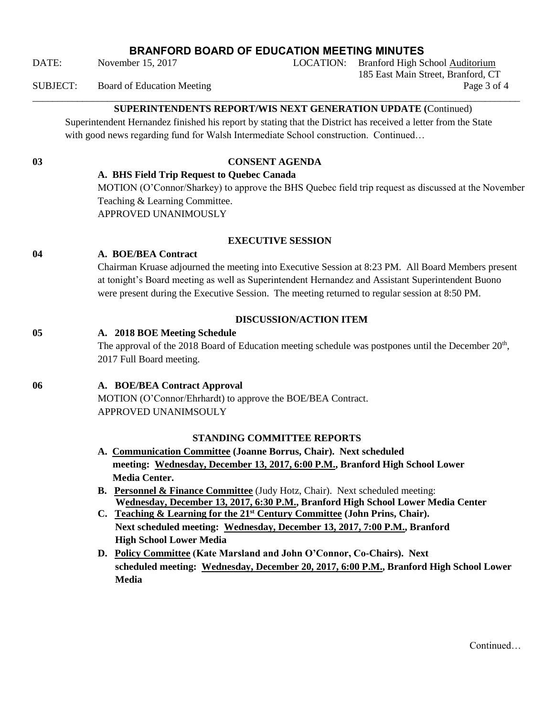DATE: November 15, 2017 LOCATION: Branford High School Auditorium 185 East Main Street, Branford, CT SUBJECT: Board of Education Meeting Page 3 of 4

#### **SUPERINTENDENTS REPORT/WIS NEXT GENERATION UPDATE (**Continued)

Superintendent Hernandez finished his report by stating that the District has received a letter from the State with good news regarding fund for Walsh Intermediate School construction. Continued...

\_\_\_\_\_\_\_\_\_\_\_\_\_\_\_\_\_\_\_\_\_\_\_\_\_\_\_\_\_\_\_\_\_\_\_\_\_\_\_\_\_\_\_\_\_\_\_\_\_\_\_\_\_\_\_\_\_\_\_\_\_\_\_\_\_\_\_\_\_\_\_\_\_\_\_\_\_\_\_\_\_\_\_\_\_\_\_\_\_\_\_\_\_\_\_\_\_\_

# **03 CONSENT AGENDA**

**A. BHS Field Trip Request to Quebec Canada**

MOTION (O'Connor/Sharkey) to approve the BHS Quebec field trip request as discussed at the November Teaching & Learning Committee. APPROVED UNANIMOUSLY

**EXECUTIVE SESSION**

### **04 A. BOE/BEA Contract**

Chairman Kruase adjourned the meeting into Executive Session at 8:23 PM. All Board Members present at tonight's Board meeting as well as Superintendent Hernandez and Assistant Superintendent Buono were present during the Executive Session. The meeting returned to regular session at 8:50 PM.

### **DISCUSSION/ACTION ITEM**

### **05 A. 2018 BOE Meeting Schedule**

The approval of the 2018 Board of Education meeting schedule was postpones until the December 20<sup>th</sup>, 2017 Full Board meeting.

### **06 A. BOE/BEA Contract Approval**

MOTION (O'Connor/Ehrhardt) to approve the BOE/BEA Contract. APPROVED UNANIMSOULY

### **STANDING COMMITTEE REPORTS**

- **A. Communication Committee (Joanne Borrus, Chair). Next scheduled meeting: Wednesday, December 13, 2017, 6:00 P.M., Branford High School Lower Media Center.**
- **B. Personnel & Finance Committee** (Judy Hotz, Chair). Next scheduled meeting:  **Wednesday, December 13, 2017, 6:30 P.M., Branford High School Lower Media Center**
- **C. Teaching & Learning for the 21st Century Committee (John Prins, Chair). Next scheduled meeting: Wednesday, December 13, 2017, 7:00 P.M., Branford High School Lower Media**
- **D. Policy Committee (Kate Marsland and John O'Connor, Co-Chairs). Next scheduled meeting: Wednesday, December 20, 2017, 6:00 P.M., Branford High School Lower Media**

Continued…